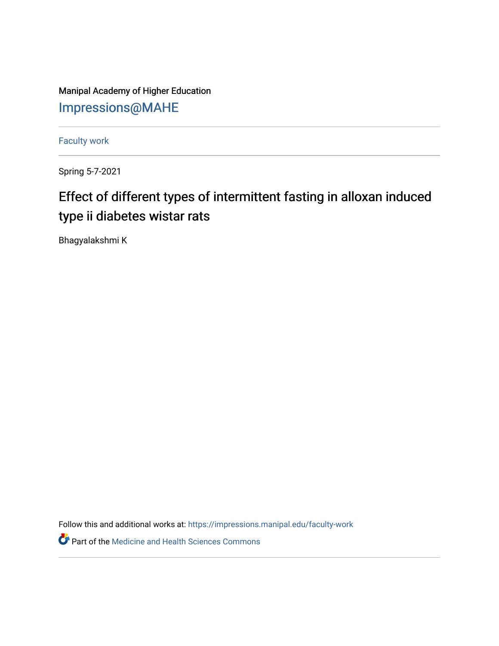Manipal Academy of Higher Education [Impressions@MAHE](https://impressions.manipal.edu/)

[Faculty work](https://impressions.manipal.edu/faculty-work) 

Spring 5-7-2021

## Effect of different types of intermittent fasting in alloxan induced type ii diabetes wistar rats

Bhagyalakshmi K

Follow this and additional works at: [https://impressions.manipal.edu/faculty-work](https://impressions.manipal.edu/faculty-work?utm_source=impressions.manipal.edu%2Ffaculty-work%2F110&utm_medium=PDF&utm_campaign=PDFCoverPages) 

**Part of the Medicine and Health Sciences Commons**